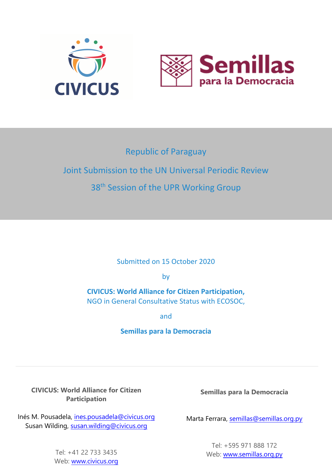



# Republic of Paraguay Joint Submission to the UN Universal Periodic Review 38<sup>th</sup> Session of the UPR Working Group

Submitted on 15 October 2020

by

**CIVICUS: World Alliance for Citizen Participation,** NGO in General Consultative Status with ECOSOC,

and

## **Semillas para la Democracia**

**CIVICUS: World Alliance for Citizen Participation**

Inés M. Pousadela, [ines.pousadela@civicus.org](mailto:ines.pousadela@civicus.org) Susan Wilding, [susan.wilding@civicus.org](mailto:susan.wilding@civicus.org)

> Tel: +41 22 733 3435 Web: [www.civicus.org](http://www.civicus.org)

**Semillas para la Democracia**

Marta Ferrara, [semillas@semillas.org.py](mailto:semillas@semillas.org.py)

Tel: +595 971 888 172 Web: [www.semillas.org.py](http://www.semillas.org.py)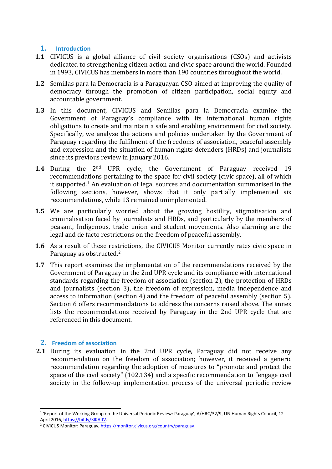## **1. Introduction**

- **1.1** CIVICUS is <sup>a</sup> global alliance of civil society organisations (CSOs) and activists dedicated to strengthening citizen action and civic space around the world. Founded in 1993, CIVICUS has members in more than 190 countries throughout the world.
- **1.2** Semillas para la Democracia is <sup>a</sup> Paraguayan CSO aimed at improving the quality of democracy through the promotion of citizen participation, social equity and accountable government.
- **1.3** In this document, CIVICUS and Semillas para la Democracia examine the Government of Paraguay'<sup>s</sup> compliance with its international human rights obligations to create and maintain <sup>a</sup> safe and enabling environment for civil society. Specifically, we analyse the actions and policies undertaken by the Government of Paraguay regarding the fulfilment of the freedoms of association, peaceful assembly and expression and the situation of human rights defenders (HRDs) and journalists since its previous review in January 2016.
- **1.4** During the 2<sup>nd</sup> UPR cycle, the Government of Paraguay received 19 recommendations pertaining to the space for civil society (civic space), all of which it supported. 1 An evaluation of legal sources and documentation summarised in the following sections, however, shows that it only partially implemented six recommendations, while 13 remained unimplemented.
- **1.5** We are particularly worried about the growing hostility, stigmatisation and criminalisation faced by journalists and HRDs, and particularly by the members of peasant, Indigenous, trade union and student movements. Also alarming are the legal and de facto restrictions on the freedom of peaceful assembly.
- **1.6** As <sup>a</sup> result of these restrictions, the CIVICUS Monitor currently rates civic space in Paraguay as obstructed.<sup>2</sup>
- **1.7** This report examines the implementation of the recommendations received by the Government of Paraguay in the 2nd UPR cycle and its compliance with international standards regarding the freedom of association (section 2), the protection of HRDs and journalists (section 3), the freedom of expression, media independence and access to information (section 4) and the freedom of peaceful assembly (section 5). Section 6 offers recommendations to address the concerns raised above. The annex lists the recommendations received by Paraguay in the 2nd UPR cycle that are referenced in this document.

## **2. Freedom of association**

**2.1** During its evaluation in the 2nd UPR cycle, Paraguay did not receive any recommendation on the freedom of association; however, it received <sup>a</sup> generic recommendation regarding the adoption of measures to "promote and protect the space of the civil society" (102.134) and <sup>a</sup> specific recommendation to "engage civil society in the follow-up implementation process of the universal periodic review

<sup>&</sup>lt;sup>1</sup> 'Report of the Working Group on the Universal Periodic Review: Paraguay', A/HRC/32/9, UN Human Rights Council, 12 April 2016, <https://bit.ly/3lKAlJV>.

<sup>&</sup>lt;sup>2</sup> CIVICUS Monitor: Paraguay, [https://monitor.civicus.org/country/paraguay](https://monitor.civicus.org/country/paraguay/).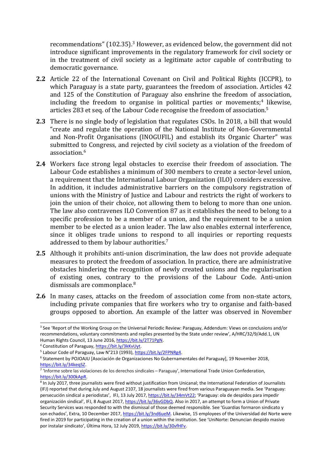recommendations" (102.35). <sup>3</sup> However, as evidenced below, the governmen<sup>t</sup> did not introduce significant improvements in the regulatory framework for civil society or in the treatment of civil society as <sup>a</sup> legitimate actor capable of contributing to democratic governance.

- **2.2** Article 22 of the International Covenant on Civil and Political Rights (ICCPR), to which Paraguay is <sup>a</sup> state party, guarantees the freedom of association. Articles 42 and 125 of the Constitution of Paraguay also enshrine the freedom of association, including the freedom to organise in political parties or movements; 4 likewise, articles 283 et seq. of the Labour Code recognise the freedom of association. 5
- **2.3** There is no single body of legislation that regulates CSOs. In 2018, <sup>a</sup> bill that would "create and regulate the operation of the National Institute of Non-Governmental and Non-Profit Organisations (INOGUFIL) and establish its Organic Charter" was submitted to Congress, and rejected by civil society as <sup>a</sup> violation of the freedom of association. 6
- **2.4** Workers face strong legal obstacles to exercise their freedom of association. The Labour Code establishes <sup>a</sup> minimum of 300 members to create <sup>a</sup> sector-level union, <sup>a</sup> requirement that the International Labour Organization (ILO) considers excessive. In addition, it includes administrative barriers on the compulsory registration of unions with the Ministry of Justice and Labour and restricts the right of workers to join the union of their choice, not allowing them to belong to more than one union. The law also contravenes ILO Convention 87 as it establishes the need to belong to <sup>a</sup> specific profession to be <sup>a</sup> member of <sup>a</sup> union, and the requirement to be <sup>a</sup> union member to be elected as <sup>a</sup> union leader. The law also enables external interference, since it obliges trade unions to respond to all inquiries or reporting requests addressed to them by labour authorities. 7
- **2.5** Although it prohibits anti-union discrimination, the law does not provide adequate measures to protect the freedom of association. In practice, there are administrative obstacles hindering the recognition of newly created unions and the regularisation of existing ones, contrary to the provisions of the Labour Code. Anti-union dismissals are commonplace.<sup>8</sup>
- **2.6** In many cases, attacks on the freedom of association come from non-state actors, including private companies that fire workers who try to organise and faith-based groups opposed to abortion. An example of the latter was observed in November

<sup>3</sup> See 'Report of the Working Group on the Universal Periodic Review: Paraguay, Addendum: Views on conclusions and/or recommendations, voluntary commitments and replies presented by the State under review', A/HRC/32/9/Add.1, UN Human Rights Council, 13 June 2016, <https://bit.ly/2T71PgN>.

<sup>&</sup>lt;sup>4</sup> Constitution of Paraguay, <https://bit.ly/3kKvUyt>.

<sup>&</sup>lt;sup>5</sup> Labour Code of Paraguay, Law N°213 (1993), <https://bit.ly/2FPNRg4>.

<sup>6</sup> Statement by POJOAJU [Asociación de Organizaciones No Gubernamentales del Paraguay], 19 November 2018, <https://bit.ly/34keqSZ>.

<sup>7</sup> 'Informe sobre las violaciones de los derechos sindicales – Paraguay', International Trade Union Confederation, <https://bit.ly/300kApR>.

<sup>8</sup> In July 2017, three journalists were fired without justification from Unicanal; the International Federation of Journalists (IFJ) reported that during July and August 2107, 18 journalists were fired from various Paraguayan media. See 'Paraguay: persecución sindical <sup>a</sup> periodistas', IFJ, 13 July 2017, <https://bit.ly/34mVt22>; 'Paraguay: ola de despidos para impedir organización sindical', IFJ, 8 August 2017, <https://bit.ly/36vGDbQ>. Also in 2017, an attempt to form <sup>a</sup> Union of Private Security Services was responded to with the dismissal of those deemed responsible. See 'Guardias formaron sindicato y son echados', Extra, 10 December 2017, <https://bit.ly/3nd6ueM>. Likewise, 15 employees of the Universidad del Norte were fired in 2019 for participating in the creation of <sup>a</sup> union within the institution. See 'UniNorte: Denuncian despido masivo por instalar sindicato', Última Hora, <sup>12</sup> July 2019, <https://bit.ly/30vfHFv>.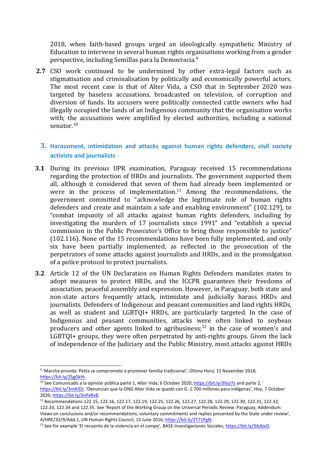2018, when faith-based groups urged an ideologically sympathetic Ministry of Education to intervene in several human rights organisations working from <sup>a</sup> gender perspective, including Semillas para la Democracia. 9

**2.7** CSO work continued to be undermined by other extra-legal factors such as stigmatisation and criminalisation by politically and economically powerful actors. The most recent case is that of Alter Vida, <sup>a</sup> CSO that in September 2020 was targeted by baseless accusations, broadcasted on television, of corruption and diversion of funds. Its accusers were politically connected cattle owners who had illegally occupied the lands of an Indigenous community that the organisation works with; the accusations were amplified by elected authorities, including <sup>a</sup> national senator.<sup>10</sup>

## **3. Harassment, intimidation and attacks against human rights defenders, civil society activists and journalists**

- **3.1** During its previous UPR examination, Paraguay received 15 recommendations regarding the protection of HRDs and journalists. The governmen<sup>t</sup> supported them all, although it considered that seven of them had already been implemented or were in the process of implementation. $^{11}$  Among the recommendations, the governmen<sup>t</sup> committed to "acknowledge the legitimate role of human rights defenders and create and maintain <sup>a</sup> safe and enabling environment" (102.129), to "combat impunity of all attacks against human rights defenders, including by investigating the murders of 17 journalists since 1991" and "establish <sup>a</sup> special commission in the Public Prosecutor'<sup>s</sup> Office to bring those responsible to justice" (102.116). None of the 15 recommendations have been fully implemented, and only six have been partially implemented, as reflected in the prosecution of the perpetrators of some attacks against journalists and HRDs, and in the promulgation of <sup>a</sup> police protocol to protect journalists.
- **3.2** Article 12 of the UN Declaration on Human Rights Defenders mandates states to adopt measures to protect HRDs, and the ICCPR guarantees their freedoms of association, peaceful assembly and expression. However, in Paraguay, both state and non-state actors frequently attack, intimidate and judicially harass HRDs and journalists. Defenders of Indigenous and peasant communities and land rights HRDs, as well as student and LGBTQI+ HRDs, are particularly targeted. In the case of Indigenous and peasant communities, attacks were often linked to soybean producers and other agents linked to agribusiness; $^{12}$  in the case of women's and LGBTQI+ groups, they were often perpetrated by anti-rights groups. Given the lack of independence of the Judiciary and the Public Ministry, most attacks against HRDs

122.33, 122.34 and 122.35. See 'Report of the Working Group on the Universal Periodic Review: Paraguay, Addendum: Views on conclusions and/or recommendations, voluntary commitments and replies presented by the State under review', A/HRC/32/9/Add.1, UN Human Rights Council, 13 June 2016, <https://bit.ly/2T71PgN>.

4

<sup>9</sup> 'Marcha provida: Petta se compromete <sup>a</sup> promover familia tradicional', Última Hora, <sup>15</sup> November 2018, <https://bit.ly/2SgGkth>.

<sup>&</sup>lt;sup>10</sup> See Comunicado a la opinión pública parte 1, Alter Vida, 6 October 2020, <https://bit.ly/3ltyJ7s> and parte 2, <https://bit.ly/3ntKIDJ>; 'Denuncian que la ONG Alter Vida se quedó con G. 1.700 millones para indígenas', Hoy, 7 October 2020, <https://bit.ly/3nPxRvB>.

<sup>11</sup> Recommendations 122.15, 122.16, 122.17, 122.19, 122.25, 122.26, 122.27, 122.28, 122.29, 122.30, 122.31, 122.32,

<sup>&</sup>lt;sup>12</sup> See for example 'El recuento de la violencia en el campo', BASE-Investigaciones Sociales, <https://bit.ly/3ikJbvO>.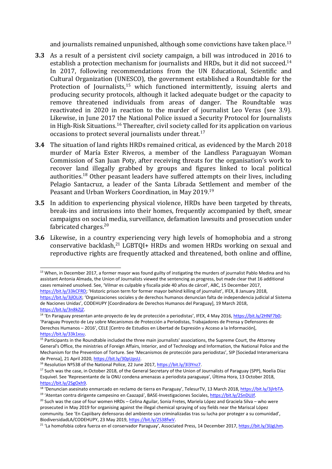and journalists remained unpunished, although some convictions have taken place.<sup>13</sup>

- **3.3** As <sup>a</sup> result of <sup>a</sup> persistent civil society campaign, <sup>a</sup> bill was introduced in 2016 to establish a protection mechanism for journalists and HRDs, but it did not succeed.<sup>14</sup> In 2017, following recommendations from the UN Educational, Scientific and Cultural Organization (UNESCO), the governmen<sup>t</sup> established <sup>a</sup> Roundtable for the Protection of Journalists,<sup>15</sup> which functioned intermittently, issuing alerts and producing security protocols, although it lacked adequate budget or the capacity to remove threatened individuals from areas of danger. The Roundtable was reactivated in 2020 in reaction to the murder of journalist Leo Veras (see 3.9). Likewise, in June 2017 the National Police issued <sup>a</sup> Security Protocol for Journalists in High-Risk Situations. 16 Thereafter, civil society called for its application on various occasions to protect several journalists under threat. 17
- **3.4** The situation of land rights HRDs remained critical, as evidenced by the March 2018 murder of María Ester Riveros, <sup>a</sup> member of the Landless Paraguayan Woman Commission of San Juan Poty, after receiving threats for the organisation'<sup>s</sup> work to recover land illegally grabbed by groups and figures linked to local political authorities.<sup>18</sup> Other peasant leaders have suffered attempts on their lives, including Pelagio Santacruz, <sup>a</sup> leader of the Santa Librada Settlement and member of the Peasant and Urban Workers Coordination, in May 2019. 19
- **3.5** In addition to experiencing physical violence, HRDs have been targeted by threats, break-ins and intrusions into their homes, frequently accompanied by theft, smear campaigns on social media, surveillance, defamation lawsuits and prosecution under fabricated charges. 20
- **3.6** Likewise, in <sup>a</sup> country experiencing very high levels of homophobia and <sup>a</sup> strong conservative backlash,<sup>21</sup> LGBTQI+ HRDs and women HRDs working on sexual and reproductive rights are frequently attacked and threatened, both online and offline,

<sup>&</sup>lt;sup>13</sup> When, in December 2017, a former mayor was found guilty of instigating the murders of journalist Pablo Medina and his assistant Antonia Almada, the Union of Journalists viewed the sentencing as progress, but made clear that 16 additional cases remained unsolved. See, 'Vilmar es culpable y fiscalía pide 40 años de cárcel', ABC, 15 December 2017, [https://bit.ly/33kCFRD;](https://bit.ly/33kCFRD) 'Historic prison term for former mayor behind killing of journalist', IFEX, 8 January 2018,

<https://bit.ly/3jlOLiX>; 'Organizaciones sociales y de derechos humanos denuncian falta de independencia judicial al Sistema de Naciones Unidas', CODEHUPY [Coordinadora de Derechos Humanos del Paraguay], 19 March 2018, <https://bit.ly/3n8kZjZ>.

<sup>&</sup>lt;sup>14</sup> 'En Paraguay presentan ante-proyecto de ley de protección a periodistas', IFEX, 4 May 2016, <https://bit.ly/2HNF7b0>; 'Paraguay Proyecto de Ley sobre Mecanismos de Protección <sup>a</sup> Periodistas, Trabajadores de Prensa y Defensores de Derechos Humanos – 2016', CELE [Centro de Estudios en Libertad de Expresión y Acceso <sup>a</sup> la Información], <https://bit.ly/33k1xsu>.

<sup>&</sup>lt;sup>15</sup> Participants in the Roundtable included the three main journalists' associations, the Supreme Court, the Attorney General's Office, the ministries of Foreign Affairs, Interior, and of Technology and Information, the National Police and the Mechanism for the Prevention of Torture. See 'Mecanismos de protección para periodistas', SIP [Sociedad Interamericana de Prensa], 21 April 2020, <https://bit.ly/30pUpsU>.

<sup>&</sup>lt;sup>16</sup> Resolution Nº538 of the National Police, 22 June 2017, <https://bit.ly/3l3Ynz7>.

<sup>&</sup>lt;sup>17</sup> Such was the case, in October 2018, of the General Secretary of the Union of Journalists of Paraguay (SPP), Noelia Díaz Esquivel. See 'Representante de la ONU condena amenazas <sup>a</sup> periodista paraguaya', Última Hora, <sup>13</sup> October 2018, <https://bit.ly/2SgOxh9>.

<sup>&</sup>lt;sup>18</sup> 'Denuncian asesinato enmarcado en reclamo de tierra en Paraguay', TelesurTV, 13 March 2018, <https://bit.ly/3jlrbTA>. <sup>19</sup> 'Atentan contra dirigente campesino en Caazapá', BASE-Investigaciones Sociales, <https://bit.ly/2SnDUJf>.

 $^{20}$  Such was the case of four women HRDs – Celina Aguilar, Sonia Fretes, Mariela López and Graciela Silva – who were prosecuted in May 2019 for organising against the illegal chemical spraying of soy fields near the Mariscal López community. See 'En Capiibary defensoras del ambiente son criminalizadas tras su lucha por proteger <sup>a</sup> su comunidad', BiodiversidadLA/CODEHUPY, 23 May 2019, <https://bit.ly/2S38fwV>.

<sup>&</sup>lt;sup>21</sup> 'La homofobia cobra fuerza en el conservador Paraguay', Associated Press, 14 December 2017, <https://bit.ly/3lJgLhm>.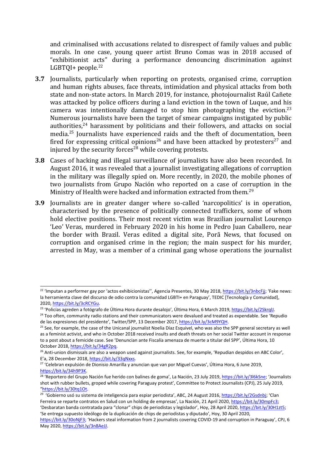and criminalised with accusations related to disrespect of family values and public morals. In one case, young queer artist Bruno Comas was in 2018 accused of "exhibitionist acts" during <sup>a</sup> performance denouncing discrimination against LGBTQI+ people. 22

- **3.7** Journalists, particularly when reporting on protests, organised crime, corruption and human rights abuses, face threats, intimidation and physical attacks from both state and non-state actors. In March 2019, for instance, photojournalist Raúl Cañete was attacked by police officers during <sup>a</sup> land eviction in the town of Luque, and his camera was intentionally damaged to stop him photographing the eviction.<sup>23</sup> Numerous journalists have been the target of smear campaigns instigated by public authorities,<sup>24</sup> harassment by politicians and their followers, and attacks on social media. 25 Journalists have experienced raids and the theft of documentation, been fired for expressing critical opinions $^{26}$  and have been attacked by protesters $^{27}$  and injured by the security forces $^{\rm 28}$  while covering protests.
- **3.8** Cases of hacking and illegal surveillance of journalists have also been recorded. In August 2016, it was revealed that <sup>a</sup> journalist investigating allegations of corruption in the military was illegally spied on. More recently, in 2020, the mobile phones of two journalists from Grupo Nación who reported on <sup>a</sup> case of corruption in the Ministry of Health were hacked and information extracted from them.<sup>29</sup>
- **3.9** Journalists are in greater danger where so-called 'narcopolitics' is in operation, characterised by the presence of politically connected traffickers, some of whom hold elective positions. Their most recent victim was Brazilian journalist Lourenço 'Leo' Veras, murdered in February 2020 in his home in Pedro Juan Caballero, near the border with Brazil. Veras edited <sup>a</sup> digital site, Porã News, that focused on corruption and organised crime in the region; the main suspect for his murder, arrested in May, was <sup>a</sup> member of <sup>a</sup> criminal gang whose operations the journalist

<sup>&</sup>lt;sup>22</sup> 'Imputan a performer gay por 'actos exhibicionistas'', Agencia Presentes, 30 May 2018, <https://bit.ly/3nbcFjj>; 'Fake news: la herramienta clave del discurso de odio contra la comunidad LGBTI+ en Paraguay', TEDIC [Tecnología y Comunidad], 2020, <https://bit.ly/3cRCYGu>.

<sup>&</sup>lt;sup>23</sup> 'Policías agreden a fotógrafo de Última Hora durante desalojo', Última Hora, 6 March 2019, <https://bit.ly/2SkrqlJ>.

<sup>&</sup>lt;sup>24</sup> Too often, community radio stations and their communicators were devalued and treated as expendable. See 'Repudio de las expresiones del presidente', Twitter/SPP, 13 December 2017, <https://bit.ly/3cM9YQH>.

<sup>&</sup>lt;sup>25</sup> See, for example, the case of the Unicanal journalist Noelia Díaz Esquivel, who was also the SPP general secretary as wel as <sup>a</sup> feminist activist, and who in October 2018 received insults and death threats on her social Twitter account in response to <sup>a</sup> post about <sup>a</sup> femicide case. See 'Denuncian ante Fiscalía amenaza de muerte <sup>a</sup> titular del SPP', Última Hora, <sup>10</sup> October 2018, <https://bit.ly/34gR2pq>.

<sup>&</sup>lt;sup>26</sup> Anti-union dismissals are also a weapon used against journalists. See, for example, 'Repudian despidos en ABC Color', E'a, 28 December 2018, <https://bit.ly/33qNxxs>.

<sup>&</sup>lt;sup>27</sup> 'Celebran expulsión de Dionisio Amarilla y anuncian que van por Miguel Cuevas', Última Hora, 6 June 2019, <https://bit.ly/34h9P3K>.

<sup>&</sup>lt;sup>28</sup> 'Reportero del Grupo Nación fue herido con balines de goma', La Nación, 23 July 2019, [https://bit.ly/3l6kSne;](https://bit.ly/3l6kSne) 'Journalists shot with rubber bullets, groped while covering Paraguay protest', Committee to Protect Journalists (CPJ), 25 July 2019, "<https://bit.ly/30tq1Ot>.

<sup>&</sup>lt;sup>29</sup> 'Gobierno usó su sistema de inteligencia para espiar periodista', ABC, 24 August 2016, <https://bit.ly/2Gsdnbj>; 'Clan Ferreira se reparte contratos en Salud con un holding de empresas', La Nación, 21 April 2020, <https://bit.ly/30mpFc3>; 'Desbaratan banda contratada para "clonar" chips de periodistas y legislador', Hoy, 28 April 2020, <https://bit.ly/30H1zt5>; 'Se entrega supuesto ideólogo de la duplicación de chips de periodistas y diputado', Hoy, 30 April 2020,

[https://bit.ly/30oNjF3;](https://bit.ly/30oNjF3) 'Hackers steal information from 2 journalists covering COVID-19 and corruption in Paraguay', CPJ, 6 May 2020, <https://bit.ly/3n8AeJJ>.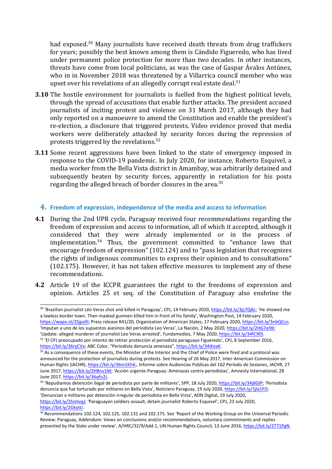had exposed. <sup>30</sup> Many journalists have received death threats from drug traffickers for years; possibly the best known among them is Cándido Figueredo, who has lived under permanent police protection for more than two decades. In other instances, threats have come from local politicians, as was the case of Gaspar Ávalos Antúnez, who in in November 2018 was threatened by <sup>a</sup> Villarrica council member who was upset over his revelations of an allegedly corrupt real estate deal.<sup>31</sup>

- **3.10** The hostile environment for journalists is fuelled from the highest political levels, through the spread of accusations that enable further attacks. The president accused journalists of inciting protest and violence on 31 March 2017, although they had only reported on <sup>a</sup> manoeuvre to amend the Constitution and enable the president'<sup>s</sup> re-election, <sup>a</sup> disclosure that triggered protests. Video evidence proved that media workers were deliberately attacked by security forces during the repression of protests triggered by the revelations. $^{\rm 32}$
- **3.11** Some recent aggressions have been linked to the state of emergency imposed in response to the COVID-19 pandemic. In July 2020, for instance, Roberto Esquivel, <sup>a</sup> media worker from the Bella Vista district in Amambay, was arbitrarily detained and subsequently beaten by security forces, apparently in retaliation for his posts regarding the alleged breach of border closures in the area.<sup>33</sup>

#### **4. Freedom of expression, independence of the media and access to information**

- **4.1** During the 2nd UPR cycle, Paraguay received four recommendations regarding the freedom of expression and access to information, all of which it accepted, although it considered that they were already implemented or in the process of implementation. 34 Thus, the governmen<sup>t</sup> committed to "enhance laws that encourage freedom of expression" (102.124) and to "pass legislation that recognizes the rights of indigenous communities to express their opinion and to consultations" (102.175). However, it has not taken effective measures to implement any of these recommendations.
- **4.2** Article 19 of the ICCPR guarantees the right to the freedoms of expression and opinion. Articles 25 et seq. of the Constitution of Paraguay also enshrine the

'Update: alleged murderer of journalist Leo Veras arrested', Fundamedios, 7 May 2020, <https://bit.ly/34fC9DI>. 31 'El CPJ preocupado por intento de retirar protección al periodista paraguayo Figueredo', CPJ, 8 September 2016, <https://bit.ly/36ryCVx>; ABC Color, "Periodista denuncia amenaza", <https://bit.ly/34iKeaK>.

<https://bit.ly/2SnHvqJ>; 'Paraguayan soldiers assault, detain journalist Roberto Esquivel', CPJ, 23 July 2020, <https://bit.ly/2GkytIJ>.

7

<sup>&</sup>lt;sup>30</sup> 'Brazilian journalist Léo Veras shot and killed in Paraguay', CPJ, 14 February 2020, <https://bit.ly/3js7QAc>; 'He showed me <sup>a</sup> lawless border town. Then masked gunmen killed him in front of his family', Washington Post, 14 February 2020, <https://wapo.st/2Sjpz0I>; Press release R41/20, Organization of American States, 17 February 2020, <https://bit.ly/3nbQCcz>; 'Imputan <sup>a</sup> uno de los supuestos asesinos del periodista Leo Veras', La Nación, 2 May 2020, <https://bit.ly/2HG7eIW>;

 $32$  As a consequence of these events, the Minister of the Interior and the Chief of Police were fired and a protocol was announced for the protection of journalists during protests. See Hearing of 26 May 2017, Inter-American Commission on Human Rights (IACHR), <https://bit.ly/36m1Kh4>;, Informe sobre Audiencias Públicas del 162 Período de Sesiones, IACHR, 27 June 2017, [https://bit.ly/2HBnv1M;](https://bit.ly/2HBnv1M) 'Acción urgente-Paraguay: Amenazas contra periodistas', Amnesty International, 28 June 2017, <https://bit.ly/36qfo2J>.

<sup>&</sup>lt;sup>33</sup> 'Repudiamos detención ilegal de periodista por parte de militares', SPP, 18 July 2020, <https://bit.ly/34j8GIP>; 'Periodista denuncia que fue torturado por militares en Bella Vista', Noticiero Paraguay, 19 July 2020, <https://bit.ly/3jla1FD>; 'Denuncian <sup>a</sup> militares por detención irregular de periodista en Bella Vista', ADN Digital, 19 July 2020,

<sup>&</sup>lt;sup>34</sup> Recommendations 102.124, 102.125, 102.131 and 102.175. See 'Report of the Working Group on the Universal Periodic Review: Paraguay, Addendum: Views on conclusions and/or recommendations, voluntary commitments and replies presented by the State under review', A/HRC/32/9/Add.1, UN Human Rights Council, 13 June 2016, <https://bit.ly/2T71PgN>.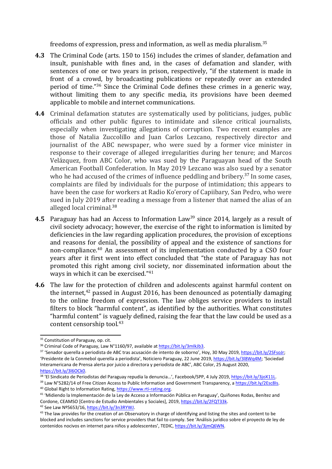freedoms of expression, press and information, as well as media pluralism. 35

- **4.3** The Criminal Code (arts. 150 to 156) includes the crimes of slander, defamation and insult, punishable with fines and, in the cases of defamation and slander, with sentences of one or two years in prison, respectively, "if the statement is made in front of <sup>a</sup> crowd, by broadcasting publications or repeatedly over an extended period of time."<sup>36</sup> Since the Criminal Code defines these crimes in a generic way, without limiting them to any specific media, its provisions have been deemed applicable to mobile and internet communications.
- **4.4** Criminal defamation statutes are systematically used by politicians, judges, public officials and other public figures to intimidate and silence critical journalists, especially when investigating allegations of corruption. Two recent examples are those of Natalia Zuccolillo and Juan Carlos Lezcano, respectively director and journalist of the ABC newspaper, who were sued by <sup>a</sup> former vice minister in response to their coverage of alleged irregularities during her tenure; and Marcos Velázquez, from ABC Color, who was sued by the Paraguayan head of the South American Football Confederation. In May 2019 Lezcano was also sued by <sup>a</sup> senator who he had accused of the crimes of influence peddling and bribery.<sup>37</sup> In some cases, complaints are filed by individuals for the purpose of intimidation; this appears to have been the case for workers at Radio Ko'erory of Capiibary, San Pedro, who were sued in July 2019 after reading <sup>a</sup> message from <sup>a</sup> listener that named the alias of an alleged local criminal.<sup>38</sup>
- **4.5** Paraguay has had an Access to Information Law<sup>39</sup> since 2014, largely as a result of civil society advocacy; however, the exercise of the right to information is limited by deficiencies in the law regarding application procedures, the provision of exceptions and reasons for denial, the possibility of appeal and the existence of sanctions for non-compliance. 40 An assessment of its implementation conducted by <sup>a</sup> CSO four years after it first went into effect concluded that "the state of Paraguay has not promoted this right among civil society, nor disseminated information about the ways in which it can be exercised." 41
- **4.6** The law for the protection of children and adolescents against harmful content on the internet, 42 passed in August 2016, has been denounced as potentially damaging to the online freedom of expression. The law obliges service providers to install filters to block "harmful content", as identified by the authorities. What constitutes "harmful content" is vaguely defined, raising the fear that the law could be used as <sup>a</sup> content censorship tool. 43

<sup>&</sup>lt;sup>35</sup> Constitution of Paraguay, op. cit.

<sup>&</sup>lt;sup>36</sup> Criminal Code of Paraguay, Law N°1160/97, available at <https://bit.ly/3mIkJb3>.

<sup>&</sup>lt;sup>37</sup> 'Senador querella a periodista de ABC tras acusación de intento de soborno', Hoy, 30 May 2019, [https://bit.ly/2SFsoJr;](https://bit.ly/2SFsoJr) 'Presidente de la Conmebol querella <sup>a</sup> periodista', Noticiero Paraguay, 22 June 2019, <https://bit.ly/3l8Wq4M>; 'Sociedad Interamericana de Prensa alerta por juicio <sup>a</sup> directora y periodista de ABC', ABC Color, 25 August 2020, <https://bit.ly/3l6OCk0>.

<sup>&</sup>lt;sup>38</sup> 'El Sindicato de Periodistas del Paraguay repudia la denuncia...', Facebook/SPP, 4 July 2019, <https://bit.ly/3joX11L>.

<sup>&</sup>lt;sup>39</sup> Law N°5282/14 of Free Citizen Access to Public Information and Government Transparency, a <https://bit.ly/2Esc8Is>. <sup>40</sup> Global Right to Information Rating, [https://www.rti-rating.org](https://www.rti-rating.org/).

<sup>&</sup>lt;sup>41</sup> 'Midiendo la Implementación de la Ley de Acceso a Información Pública en Paraguay', Quiñones Rodas, Benítez anc Cordone, CEAMSO [Centro de Estudio Ambientales y Sociales], 2019, <https://bit.ly/2FQT33k>.

<sup>&</sup>lt;sup>42</sup> See Law Nº5653/16, <https://bit.ly/3n3RYWJ>.

 $^{43}$  The law provides for the creation of an Observatory in charge of identifying and listing the sites and content to be blocked and includes sanctions for service providers that fail to comply. See 'Análisis jurídico sobre el proyecto de ley de contenidos nocivos en internet para niños y adolescentes', TEDIC, <https://bit.ly/3jmQ6WN>.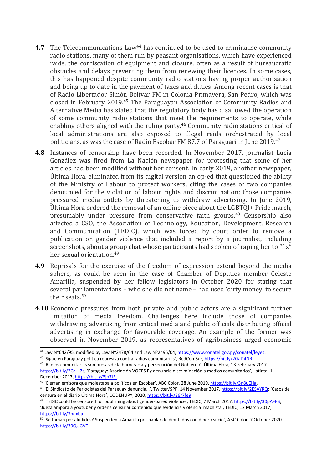- **4.7** The Telecommunications Law<sup>44</sup> has continued to be used to criminalise community radio stations, many of them run by peasant organisations, which have experienced raids, the confiscation of equipment and closure, often as <sup>a</sup> result of bureaucratic obstacles and delays preventing them from renewing their licences. In some cases, this has happened despite community radio stations having proper authorisation and being up to date in the payment of taxes and duties. Among recent cases is that of Radio Libertador Simón Bolívar FM in Colonia Primavera, San Pedro, which was closed in February 2019.<sup>45</sup> The Paraguayan Association of Community Radios and Alternative Media has stated that the regulatory body has disallowed the operation of some community radio stations that meet the requirements to operate, while enabling others aligned with the ruling party. 46 Community radio stations critical of local administrations are also exposed to illegal raids orchestrated by local politicians, as was the case of Radio Escobar FM 87.7 of Paraguarí in June 2019. 47
- **4.8** Instances of censorship have been recorded. In November 2017, journalist Lucía González was fired from La Nación newspaper for protesting that some of her articles had been modified without her consent. In early 2019, another newspaper, Última Hora, eliminated from its digital version an op-ed that questioned the ability of the Ministry of Labour to protect workers, citing the cases of two companies denounced for the violation of labour rights and discrimination; those companies pressured media outlets by threatening to withdraw advertising. In June 2019, Última Hora ordered the removal of an online <sup>p</sup>iece about the LGBTQI+ Pride march, presumably under pressure from conservative faith groups. 48 Censorship also affected <sup>a</sup> CSO, the Association of Technology, Education, Development, Research and Communication (TEDIC), which was forced by court order to remove <sup>a</sup> publication on gender violence that included <sup>a</sup> report by <sup>a</sup> journalist, including screenshots, about <sup>a</sup> group chat whose participants had spoken of raping her to "fix" her sexual orientation. 49
- **4.9** Reprisals for the exercise of the freedom of expression extend beyond the media sphere, as could be seen in the case of Chamber of Deputies member Celeste Amarilla, suspended by her fellow legislators in October 2020 for stating that several parliamentarians – who she did not name – had used 'dirty money' to secure their seats.<sup>50</sup>
- **4.10** Economic pressures from both private and public actors are <sup>a</sup> significant further limitation of media freedom. Challenges here include those of companies withdrawing advertising from critical media and public officials distributing official advertising in exchange for favourable coverage. An example of the former was observed in November 2019, as representatives of agribusiness urged economic

<sup>&</sup>lt;sup>44</sup> Law Nº642/95, modified by Law Nº2478/04 and Law Nº2495/04, https://www.conatel.gov.py/conatel/leye<u>s</u>.

<sup>&</sup>lt;sup>45</sup> 'Sigue en Paraguay política represiva contra radios comunitarias', RedComSur, <u><https://bit.ly/2GaD4NR></u>.

<sup>&</sup>lt;sup>46</sup> 'Radios comunitarias son presas de la burocracia y persecución del Gobierno', Última Hora, 13 February 2017, <https://bit.ly/2GrHj7s>; 'Paraguay: Asociación VOCES Py denuncia discriminación <sup>a</sup> medios comunitarios', Latinta, 1 December 2017, <https://bit.ly/3jp7JFl>.

<sup>&</sup>lt;sup>47</sup> 'Cierran emisora que molestaba a políticos en Escobar', ABC Color, 28 June 2019, <https://bit.ly/3n8uEHg>.

<sup>&</sup>lt;sup>48</sup> 'El Sindicato de Periodistas del Paraguay denuncia…', Twitter/SPP, 14 November 2017, <https://bit.ly/2ESAYRQ>; 'Casos de censura en el diario Última Hora', CODEHUPY, 2020, <https://bit.ly/36r7fe9>.

<sup>&</sup>lt;sup>49</sup> 'TEDIC could be censored for publishing about gender-based violence', TEDIC, 7 March 2017, <https://bit.ly/30pAFFB>; 'Jueza ampara <sup>a</sup> youtuber y ordena censurar contenido que evidencia violencia machista', TEDIC, 12 March 2017, <https://bit.ly/3ndxbju>.

<sup>50</sup> 'Se toman por aludidos? Suspenden <sup>a</sup> Amarilla por hablar de diputados con dinero sucio', ABC Color, 7 October 2020, <https://bit.ly/30QUGVT>.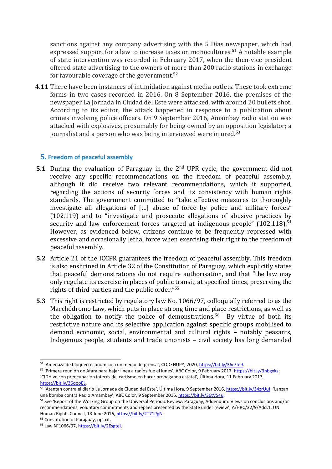sanctions against any company advertising with the 5 Días newspaper, which had expressed support for a law to increase taxes on monocultures.<sup>51</sup> A notable example of state intervention was recorded in February 2017, when the then-vice president offered state advertising to the owners of more than 200 radio stations in exchange for favourable coverage of the government.<sup>52</sup>

**4.11** There have been instances of intimidation against media outlets. These took extreme forms in two cases recorded in 2016. On 8 September 2016, the premises of the newspaper La Jornada in Ciudad del Este were attacked, with around 20 bullets shot. According to its editor, the attack happened in response to <sup>a</sup> publication about crimes involving police officers. On 9 September 2016, Amambay radio station was attacked with explosives, presumably for being owned by an opposition legislator; <sup>a</sup> journalist and <sup>a</sup> person who was being interviewed were injured. 53

#### **5. Freedom of peaceful assembly**

- **5.1** During the evaluation of Paraguay in the <sup>2</sup>nd UPR cycle, the governmen<sup>t</sup> did not receive any specific recommendations on the freedom of peaceful assembly, although it did receive two relevant recommendations, which it supported, regarding the actions of security forces and its consistency with human rights standards. The governmen<sup>t</sup> committed to "take effective measures to thoroughly investigate all allegations of […] abuse of force by police and military forces" (102.119) and to "investigate and prosecute allegations of abusive practices by security and law enforcement forces targeted at indigenous people" (102.118). 54 However, as evidenced below, citizens continue to be frequently repressed with excessive and occasionally lethal force when exercising their right to the freedom of peaceful assembly.
- **5.2** Article 21 of the ICCPR guarantees the freedom of peaceful assembly. This freedom is also enshrined in Article 32 of the Constitution of Paraguay, which explicitly states that peaceful demonstrations do not require authorisation, and that "the law may only regulate its exercise in places of public transit, at specified times, preserving the rights of third parties and the public order." 55
- **5.3** This right is restricted by regulatory law No. 1066/97, colloquially referred to as the Marchódromo Law, which puts in place strong time and place restrictions, as well as the obligation to notify the police of demonstrations. 56 By virtue of both its restrictive nature and its selective application against specific groups mobilised to demand economic, social, environmental and cultural rights – notably peasants, Indigenous people, students and trade unionists – civil society has long demanded

<sup>&</sup>lt;sup>51</sup> 'Amenaza de bloqueo económico a un medio de prensa', CODEHUPY, 2020, <https://bit.ly/36r7fe9>.

<sup>&</sup>lt;sup>52</sup> 'Primera reunión de Afara para bajar línea a radios fue el lunes', ABC Color, 9 February 2017, <https://bit.ly/3nbgxks>; 'CIDH ve con preocupación interés del cartismo en hacer propaganda estatal', Última Hora, <sup>11</sup> February 2017, <https://bit.ly/36qooEL>.

<sup>&</sup>lt;sup>53</sup> 'Atentan contra el diario La Jornada de Ciudad del Este', Última Hora, 9 September 2016, <https://bit.ly/34zrUuf>; 'Lanzan una bomba contra Radio Amambay', ABC Color, 9 September 2016, <https://bit.ly/36tV54u>.

<sup>54</sup> See 'Report of the Working Group on the Universal Periodic Review: Paraguay, Addendum: Views on conclusions and/or recommendations, voluntary commitments and replies presented by the State under review', A/HRC/32/9/Add.1, UN Human Rights Council, 13 June 2016, <https://bit.ly/2T71PgN>.

<sup>&</sup>lt;sup>55</sup> Constitution of Paraguay, op. cit.

<sup>&</sup>lt;sup>56</sup> Law N°1066/97, https://bit.ly/2Esgtel.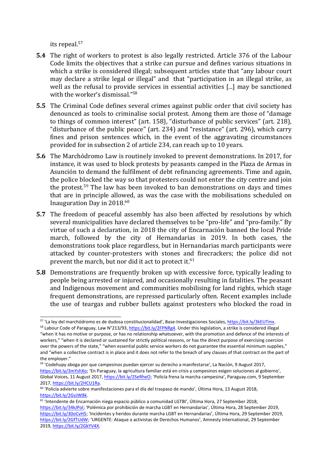its repeal. 57

- **5.4** The right of workers to protest is also legally restricted. Article 376 of the Labour Code limits the objectives that <sup>a</sup> strike can pursue and defines various situations in which <sup>a</sup> strike is considered illegal; subsequent articles state that "any labour court may declare <sup>a</sup> strike legal or illegal" and that "participation in an illegal strike, as well as the refusal to provide services in essential activities [...] may be sanctioned with the worker'<sup>s</sup> dismissal." 58
- **5.5** The Criminal Code defines several crimes against public order that civil society has denounced as tools to criminalise social protest. Among them are those of "damage to things of common interest" (art. 158), "disturbance of public services" (art. 218), "disturbance of the public peace" (art. 234) and "resistance" (art. 296), which carry fines and prison sentences which, in the event of the aggravating circumstances provided for in subsection 2 of article 234, can reach up to 10 years.
- **5.6** The Marchódromo Law is routinely invoked to prevent demonstrations. In 2017, for instance, it was used to block protests by peasants camped in the Plaza de Armas in Asunción to demand the fulfilment of debt refinancing agreements. Time and again, the police blocked the way so that protesters could not enter the city centre and join the protest.<sup>59</sup> The law has been invoked to ban demonstrations on days and times that are in principle allowed, as was the case with the mobilisations scheduled on Inauguration Day in 2018. 60
- **5.7** The freedom of peaceful assembly has also been affected by resolutions by which several municipalities have declared themselves to be "pro-life" and "pro-family." By virtue of such <sup>a</sup> declaration, in 2018 the city of Encarnación banned the local Pride march, followed by the city of Hernandarias in 2019. In both cases, the demonstrations took place regardless, but in Hernandarias march participants were attacked by counter-protesters with stones and firecrackers; the police did not prevent the march, but nor did it act to protect it. $\rm ^{61}$
- **5.8** Demonstrations are frequently broken up with excessive force, typically leading to people being arrested or injured, and occasionally resulting in fatalities. The peasant and Indigenous movement and communities mobilising for land rights, which stage frequent demonstrations, are repressed particularly often. Recent examples include the use of teargas and rubber bullets against protesters who blocked the road in

<sup>&</sup>lt;sup>57</sup> 'La ley del marchódromo es de dudosa constitucionalidad', Base-Investigaciones Sociales, <u><https://bit.ly/3kEUTmx></u>.

<sup>&</sup>lt;sup>58</sup> Labour Code of Paraguay, Law N°213/93, <https://bit.ly/2FPNRg4>. Under this legislation, a strike is considered illega "when it has no motive or purpose, or has no relationship whatsoever, with the promotion and defence of the interests of workers," "when it is declared or sustained for strictly political reasons, or has the direct purpose of exercising coercion over the powers of the state," "when essential public service workers do not guarantee the essential minimum supplies," and "when <sup>a</sup> collective contract is in place and it does not refer to the breach of any clauses of that contract on the part of the employer."

<sup>&</sup>lt;sup>59</sup> 'Codehupy aboga por que campesinos puedan ejercer su derecho a manifestarse', La Nación, 9 August 2017, <https://bit.ly/3mYshXo>; 'En Paraguay, la agricultura familiar está en crisis y campesinos exigen soluciones al gobierno', Global Voices, 11 August 2017, <https://bit.ly/2SeRheO>; 'Policía frena la marcha campesina', Paraguay.com, 9 September 2017, <https://bit.ly/2HCU1Ra>.

<sup>&</sup>lt;sup>60</sup> 'Policía advierte sobre manifestaciones para el día del traspaso de mando', Última Hora, 13 August 2018, <https://bit.ly/2GvJW8k>.

<sup>&</sup>lt;sup>61</sup> 'Intendente de Encarnación niega espacio público a comunidad LGTBI', Última Hora, 27 September 2018, [https://bit.ly/34kJPol;](https://bit.ly/34kJPol) 'Polémica por prohibición de marcha LGBT en Hernandarias', Última Hora, <sup>28</sup> September 2019, <https://bit.ly/30oCvH5>; 'Incidentes <sup>y</sup> heridos durante marcha LGBT en Hernandarias', Última Hora, <sup>29</sup> September 2019, <https://bit.ly/2GfTUdW>; 'URGENTE: Ataque <sup>a</sup> activistas de Derechos Humanos', Amnesty International, 29 September 2019, <https://bit.ly/2GkYV4X>.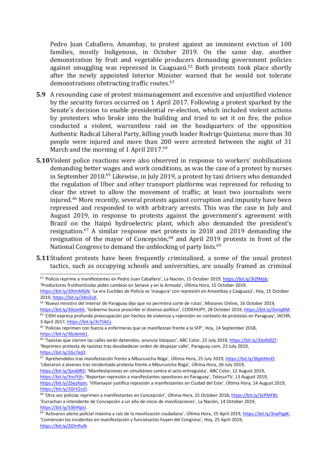Pedro Juan Caballero, Amambay, to protest against an imminent eviction of 100 families, mostly Indigenous, in October 2019. On the same day, another demonstration by fruit and vegetable producers demanding governmen<sup>t</sup> policies against smuggling was repressed in Caaguazú.<sup>62</sup> Both protests took place shortly after the newly appointed Interior Minister warned that he would not tolerate demonstrations obstructing traffic routes.<sup>63</sup>

- **5.9** A resounding case of protest mismanagement and excessive and unjustified violence by the security forces occurred on 1 April 2017. Following <sup>a</sup> protest sparked by the Senate'<sup>s</sup> decision to enable presidential re-election, which included violent actions by protesters who broke into the building and tried to set it on fire, the police conducted <sup>a</sup> violent, warrantless raid on the headquarters of the opposition Authentic Radical Liberal Party, killing youth leader Rodrigo Quintana; more than 30 people were injured and more than 200 were arrested between the night of 31 March and the morning of 1 April 2017. 64
- **5.10**Violent police reactions were also observed in response to workers' mobilisations demanding better wages and work conditions, as was the case of <sup>a</sup> protest by nurses in September 2018. 65 Likewise, in July 2019, <sup>a</sup> protest by taxi drivers who demanded the regulation of Uber and other transport platforms was repressed for refusing to clear the street to allow the movement of traffic; at least two journalists were injured. <sup>66</sup> More recently, several protests against corruption and impunity have been repressed and responded to with arbitrary arrests. This was the case in July and August 2019, in response to protests against the government'<sup>s</sup> agreemen<sup>t</sup> with Brazil on the Itaipú hydroelectric plant, which also demanded the president'<sup>s</sup> resignation. 67 A similar response met protests in 2018 and 2019 demanding the resignation of the mayor of Concepción, 68 and April 2019 protests in front of the National Congress to demand the unblocking of party lists.<sup>69</sup>
- **5.11**Student protests have been frequently criminalised, <sup>a</sup> some of the usual protest tactics, such as occupying schools and universities, are usually framed as criminal

'Productores frutihortícolas piden cambios en Senave <sup>y</sup> en la Armada', Última Hora, <sup>15</sup> October 2019,

<sup>&</sup>lt;sup>62</sup> 'Policía reprime a manifestantes en Pedro Juan Caballero', La Nación, 15 October 2019, <https://bit.ly/3l2fMsb>;

[https://bit.ly/30tmMGN;](https://bit.ly/30tmMGN) 'La era Euclides de Policía se 'inaugura' con represión en Amambay y Caaguazú', Hoy, 15 October 2019, <https://bit.ly/34niEsX>.

<sup>&</sup>lt;sup>63</sup> 'Nuevo ministro del Interior de Paraguay dijo que no permitirá corte de rutas', Misiones Online, 16 October 2019, <https://bit.ly/30ovHJt>; 'Gobierno busca proscribir el disenso político', CODEHUPY, 28 October 2019, <https://bit.ly/3irnqKM>.

<sup>64</sup> 'CIDH expresa profunda preocupación por hechos de violencia y represión en contexto de protestas en Paraguay', IACHR, 3 April 2017, <https://bit.ly/3cTtACz>.

<sup>&</sup>lt;sup>65</sup> 'Policías reprimen con fuerza a enfermeras que se manifiestan frente a la SFP', Hoy, 14 September 2018, <https://bit.ly/36obmb1>.

<sup>&</sup>lt;sup>66</sup> 'Taxistas que cierren las calles serán detenidos, anuncia Vázquez', ABC Color, 22 July 2019, <https://bit.ly/33oRdQ7>; 'Reprimen protesta de taxistas tras desobedecer orden de despejar calle', Paraguay.com, 23 July 2019, <https://bit.ly/2Gc7ejO>.

<sup>&</sup>lt;sup>67</sup> 'Aprehendidos tras manifestación frente a Mburuvicha Róga', Última Hora, 25 July 2019, <https://bit.ly/36phHmD>*i* 'Liberaron <sup>a</sup> jóvenes tras incidentada protesta frente <sup>a</sup> Mburuvicha Róga', Última Hora, <sup>26</sup> July 2019,

<https://bit.ly/3jnddR3>; 'Manifestaciones en simultáneo contra el acto entreguista', ABC Color, 12 August 2019, <https://bit.ly/3nclYjh>; 'Reportan represión <sup>a</sup> manifestantes opositores en Paraguay', TelesurTV, 13 August 2019, <https://bit.ly/2SezXqm>; 'Villamayor justifica represión <sup>a</sup> manifestantes en Ciudad del Este', Última Hora, <sup>14</sup> August 2019, <https://bit.ly/2GrV2uO>.

<sup>&</sup>lt;sup>68</sup> 'Otra vez policías reprimen a manifestantes en Concepción', Última Hora, 25 October 2018, <https://bit.ly/3cPMF8t>*i* 'Escrachan <sup>a</sup> intendente de Concepción <sup>a</sup> un año de inicio de movilizaciones', La Nación, 14 October 2019, <https://bit.ly/33kHtpU>.

<sup>&</sup>lt;sup>69</sup> 'Activaron alerta policial máxima a raíz de la movilización ciudadana', Última Hora, 25 April 2019, <https://bit.ly/3naPqpK>; 'Comienzan los incidentes en manifestación y funcionarios huyen del Congreso', Hoy, 25 April 2019, <https://bit.ly/2GhrRuN>.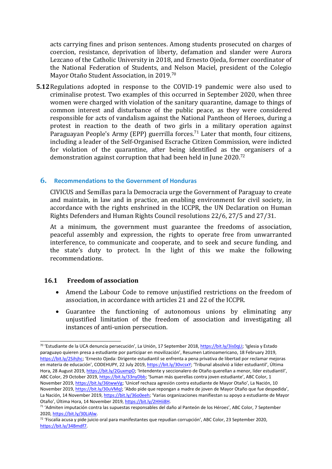acts carrying fines and prison sentences. Among students prosecuted on charges of coercion, resistance, deprivation of liberty, defamation and slander were Aurora Lezcano of the Catholic University in 2018, and Ernesto Ojeda, former coordinator of the National Federation of Students, and Nelson Maciel, president of the Colegio Mayor Otaño Student Association, in 2019. 70

**5.12**Regulations adopted in response to the COVID-19 pandemic were also used to criminalise protest. Two examples of this occurred in September 2020, when three women were charged with violation of the sanitary quarantine, damage to things of common interest and disturbance of the public peace, as they were considered responsible for acts of vandalism against the National Pantheon of Heroes, during <sup>a</sup> protest in reaction to the death of two girls in <sup>a</sup> military operation against Paraguayan People's Army (EPP) guerrilla forces. 71 Later that month, four citizens, including <sup>a</sup> leader of the Self-Organised Escrache Citizen Commission, were indicted for violation of the quarantine, after being identified as the organisers of <sup>a</sup> demonstration against corruption that had been held in June 2020.<sup>72</sup>

#### **6. Recommendations to the Government of Honduras**

CIVICUS and Semillas para la Democracia urge the Government of Paraguay to create and maintain, in law and in practice, an enabling environment for civil society, in accordance with the rights enshrined in the ICCPR, the UN Declaration on Human Rights Defenders and Human Rights Council resolutions 22/6, 27/5 and 27/31.

At <sup>a</sup> minimum, the governmen<sup>t</sup> must guarantee the freedoms of association, peaceful assembly and expression, the rights to operate free from unwarranted interference, to communicate and cooperate, and to seek and secure funding, and the state'<sup>s</sup> duty to protect. In the light of this we make the following recommendations.

#### **16.1 Freedom of association**

- 0 Amend the Labour Code to remove unjustified restrictions on the freedom of association, in accordance with articles 21 and 22 of the ICCPR.
- $\bullet$  Guarantee the functioning of autonomous unions by eliminating any unjustified limitation of the freedom of association and investigating all instances of anti-union persecution.

<sup>&</sup>lt;sup>70</sup> 'Estudiante de la UCA denuncia persecución', La Unión, 17 September 2018, <https://bit.ly/3is0qLI>; 'Iglesia y Estado paraguayo quieren presa <sup>a</sup> estudiante por participar en movilización', Resumen Latinoamericano, 18 February 2019, <https://bit.ly/2Sihjhc>; 'Ernesto Ojeda: Dirigente estudiantil se enfrenta <sup>a</sup> pena privativa de libertad por reclamar mejoras en materia de educación', CODEHUPY, <sup>22</sup> July 2019, [https://bit.ly/30vcsxY;](https://bit.ly/30vcsxY) 'Tribunal absolvió <sup>a</sup> líder estudiantil', Última Hora, 28 August 2019, <https://bit.ly/2GuxmpO>; 'Intendente y seccionalero de Otaño querellan a menor, líder estudiantil', ABC Color, 29 October 2019, <https://bit.ly/33nyDbb>; 'Suman más querellas contra joven estudiante', ABC Color, 1 November 2019, [https://bit.ly/36twwVg;](https://bit.ly/36twwVg) 'Unicef rechaza agresión contra estudiante de Mayor Otaño', La Nación, 10 November 2019, <https://bit.ly/30uVMql>; 'Abdo pide que repongan <sup>a</sup> madre de joven de Mayor Otaño que fue despedida', La Nación, 14 November 2019, <https://bit.ly/36o0eeh>; 'Varias organizaciones manifiestan su apoyo a estudiante de Mayor Otaño', Última Hora, <sup>14</sup> November 2019, <https://bit.ly/2HHii8H>.

<sup>&</sup>lt;sup>71</sup> 'Admiten imputación contra las supuestas responsables del daño al Panteón de los Héroes', ABC Color, 7 September 2020, <https://bit.ly/30LiAlw>.

<sup>&</sup>lt;sup>72</sup> 'Fiscalía acusa y pide juicio oral para manifestantes que repudian corrupción', ABC Color, 23 September 2020, <https://bit.ly/34Bmdf7>.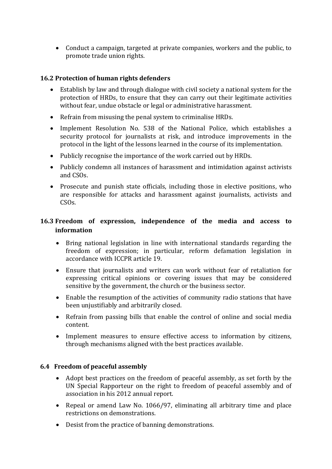Conduct <sup>a</sup> campaign, targeted at private companies, workers and the public, to promote trade union rights.

#### **16.2 Protection of human rights defenders**

- $\bullet$  Establish by law and through dialogue with civil society <sup>a</sup> national system for the protection of HRDs, to ensure that they can carry out their legitimate activities without fear, undue obstacle or legal or administrative harassment.
- Refrain from misusing the penal system to criminalise HRDs.
- Implement Resolution No. 538 of the National Police, which establishes a security protocol for journalists at risk, and introduce improvements in the protocol in the light of the lessons learned in the course of its implementation.
- Publicly recognise the importance of the work carried out by HRDs.
- Publicly condemn all instances of harassment and intimidation against activists and CSOs.
- $\bullet$  Prosecute and punish state officials, including those in elective positions, who are responsible for attacks and harassment against journalists, activists and CSOs.

## **16.3 Freedom of expression, independence of the media and access to information**

- $\bullet$  Bring national legislation in line with international standards regarding the freedom of expression; in particular, reform defamation legislation in accordance with ICCPR article 19.
- Ensure that journalists and writers can work without fear of retaliation for expressing critical opinions or covering issues that may be considered sensitive by the government, the church or the business sector.
- Enable the resumption of the activities of community radio stations that have been unjustifiably and arbitrarily closed.
- Refrain from passing bills that enable the control of online and social media content.
- Implement measures to ensure effective access to information by citizens, through mechanisms aligned with the best practices available.

#### **6.4 Freedom of peaceful assembly**

- $\bullet$  Adopt best practices on the freedom of peaceful assembly, as set forth by the UN Special Rapporteur on the right to freedom of peaceful assembly and of association in his 2012 annual report.
- Repeal or amend Law No. 1066/97, eliminating all arbitrary time and place restrictions on demonstrations.
- Desist from the practice of banning demonstrations.